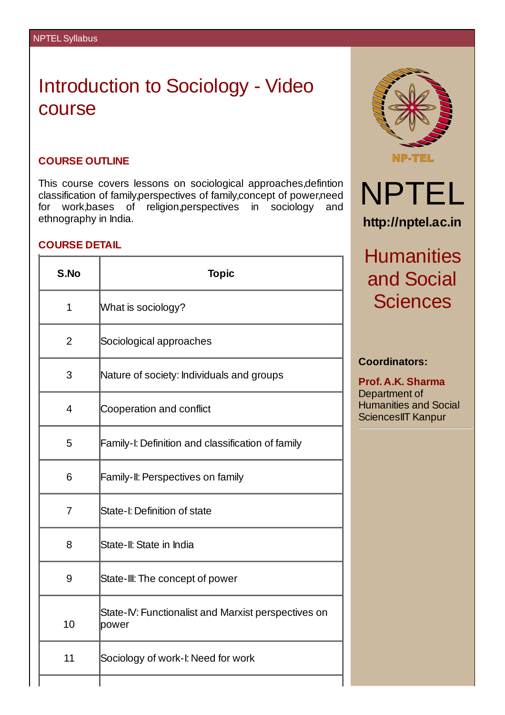## Introduction to Sociology - Video course

## **COURSE OUTLINE**

This course covers lessons on sociological approaches,defintion classification of family,perspectives of family,concept of power,need for work,bases of religion,perspectives in sociology and ethnography in India.

## **COURSE DETAIL**

| S.No           | <b>Topic</b>                                                 |  |
|----------------|--------------------------------------------------------------|--|
| $\mathbf{1}$   | What is sociology?                                           |  |
| 2              | Sociological approaches                                      |  |
| 3              | Nature of society: Individuals and groups                    |  |
| 4              | Cooperation and conflict                                     |  |
| 5              | Family-I: Definition and classification of family            |  |
| 6              | Family-II: Perspectives on family                            |  |
| $\overline{7}$ | State-I: Definition of state                                 |  |
| 8              | State-II: State in India                                     |  |
| 9              | State-III: The concept of power                              |  |
| 10             | State-IV: Functionalist and Marxist perspectives on<br>power |  |
| 11             | Sociology of work-I: Need for work                           |  |
|                |                                                              |  |



## **Coordinators:**

**Prof. A.K. Sharma** Department of Humanities and Social SciencesIIT Kanpur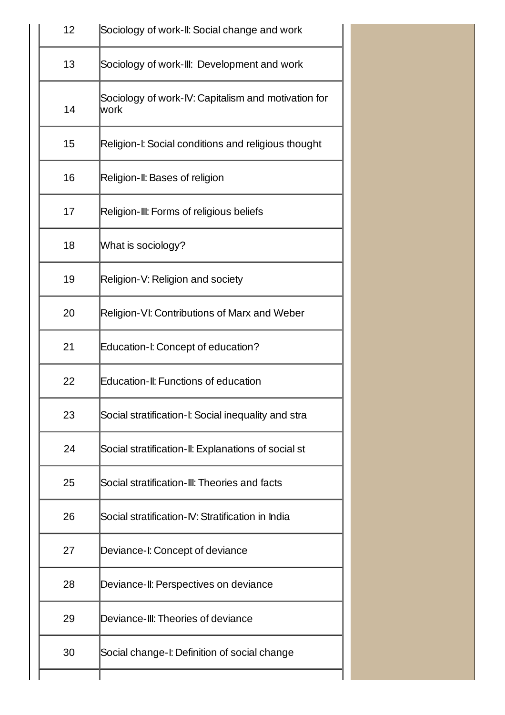| 12 | Sociology of work-II: Social change and work                |  |  |
|----|-------------------------------------------------------------|--|--|
| 13 | Sociology of work-III: Development and work                 |  |  |
| 14 | Sociology of work-IV: Capitalism and motivation for<br>work |  |  |
| 15 | Religion-I: Social conditions and religious thought         |  |  |
| 16 | Religion-II: Bases of religion                              |  |  |
| 17 | Religion-III: Forms of religious beliefs                    |  |  |
| 18 | What is sociology?                                          |  |  |
| 19 | Religion-V: Religion and society                            |  |  |
| 20 | Religion-VI: Contributions of Marx and Weber                |  |  |
| 21 | Education-I: Concept of education?                          |  |  |
| 22 | Education-II: Functions of education                        |  |  |
| 23 | Social stratification-I: Social inequality and stra         |  |  |
| 24 | Social stratification-II: Explanations of social st         |  |  |
| 25 | Social stratification-III: Theories and facts               |  |  |
| 26 | Social stratification-IV: Stratification in India           |  |  |
| 27 | Deviance-I: Concept of deviance                             |  |  |
| 28 | Deviance-II: Perspectives on deviance                       |  |  |
| 29 | Deviance-III: Theories of deviance                          |  |  |
| 30 | Social change-I: Definition of social change                |  |  |
|    |                                                             |  |  |